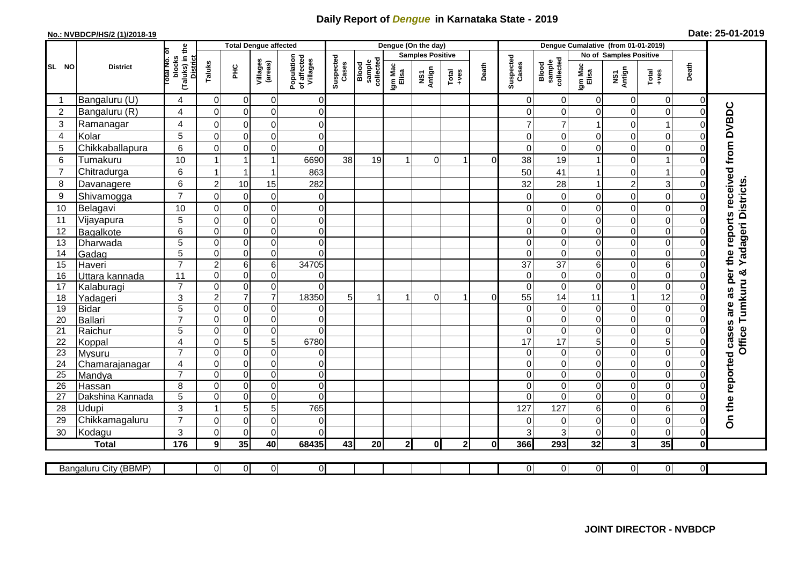## **Daily Report of** *Dengue* **in Karnataka State - 2019**

## **No.: NVBDCP/HS/2 (1)/2018-19 Date: 25-01-2019**

|                | <b>District</b>       |                                                              | <b>Total Dengue affected</b> |                                     |                                       |                         |                              |                  |                         | Dengue (On the day)                                          |                |                    |                              |                  |                |                         |                            |                     |                                        |
|----------------|-----------------------|--------------------------------------------------------------|------------------------------|-------------------------------------|---------------------------------------|-------------------------|------------------------------|------------------|-------------------------|--------------------------------------------------------------|----------------|--------------------|------------------------------|------------------|----------------|-------------------------|----------------------------|---------------------|----------------------------------------|
|                |                       |                                                              |                              |                                     |                                       |                         |                              |                  | <b>Samples Positive</b> |                                                              |                |                    |                              |                  |                | No of Samples Positive  |                            |                     |                                        |
| SL NO          |                       | (Taluks) in the<br>rotal No. of<br>blocks<br><b>District</b> |                              | Villages<br>(areas)<br>Taluks<br>ΞÉ | Population<br>of affected<br>Villages | Suspected<br>Cases      | sample<br>collected<br>Blood | Igm Mac<br>Elisa | NS1<br>Antign           | $\begin{array}{c}\n\text{Total} \\ \text{Area}\n\end{array}$ | Death          | Suspected<br>Cases | Blood<br>sample<br>collected | Igm Mac<br>Elisa | NS1<br>Antign  | Total<br>$+ve$ s        | Death                      |                     |                                        |
|                | Bangaluru (U)         | 4                                                            | $\overline{0}$               | $\overline{0}$                      | $\mathbf 0$                           | $\overline{0}$          |                              |                  |                         |                                                              |                |                    | $\Omega$                     | $\overline{0}$   | 0              | $\mathbf 0$             | 0                          | $\mathbf 0$         |                                        |
| $\overline{2}$ | Bangaluru (R)         | 4                                                            | $\mathbf 0$                  | $\mathbf 0$                         | $\mathbf 0$                           | $\overline{0}$          |                              |                  |                         |                                                              |                |                    | $\Omega$                     | $\Omega$         | 0              | $\mathbf 0$             | $\mathbf 0$                | $\Omega$            |                                        |
| 3              | Ramanagar             | 4                                                            | $\mathbf 0$                  | 0                                   | $\mathbf 0$                           | $\overline{0}$          |                              |                  |                         |                                                              |                |                    |                              | 7                | 1              | $\mathbf 0$             | 1                          | 0                   | as per the reports received from DVBDC |
| 4              | Kolar                 | 5                                                            | $\mathbf 0$                  | $\mathbf 0$                         | $\mathbf 0$                           | 0                       |                              |                  |                         |                                                              |                |                    |                              | 0                | 0              | $\mathbf 0$             | $\mathbf 0$                | $\Omega$            |                                        |
| 5              | Chikkaballapura       | $\,6$                                                        | $\mathbf 0$                  | $\boldsymbol{0}$                    | $\mathsf 0$                           | $\overline{0}$          |                              |                  |                         |                                                              |                |                    | $\Omega$                     | $\mathbf 0$      | 0              | $\mathbf 0$             | $\mathbf 0$                | 0                   |                                        |
| 6              | Tumakuru              | 10                                                           |                              |                                     | 1                                     | 6690                    | 38                           | 19               | $\mathbf{1}$            | $\Omega$                                                     | 1              | $\Omega$           | 38                           | 19               | 1              | $\Omega$                | 1                          | 0                   |                                        |
| $\overline{7}$ | Chitradurga           | 6                                                            |                              | $\overline{\mathbf{1}}$             | 1                                     | 863                     |                              |                  |                         |                                                              |                |                    | 50                           | 41               | 1              | 0                       | 1                          | 0                   |                                        |
| 8              | Davanagere            | 6                                                            | $\overline{2}$               | 10                                  | 15                                    | 282                     |                              |                  |                         |                                                              |                |                    | 32                           | 28               | $\mathbf{1}$   | $\overline{\mathbf{c}}$ | $\mathbf{3}$               | 0                   |                                        |
| 9              | Shivamogga            | $\overline{7}$                                               | $\Omega$                     | $\Omega$                            | $\mathbf 0$                           | 0                       |                              |                  |                         |                                                              |                |                    |                              | $\Omega$         | 0              | $\Omega$                | $\mathbf 0$                |                     | <b>Yadageri Districts</b>              |
| 10             | Belagavi              | 10                                                           | $\mathbf 0$                  | 0                                   | $\mathbf 0$                           | $\mathsf 0$             |                              |                  |                         |                                                              |                |                    |                              | 0                | 0              | $\boldsymbol{0}$        | $\mathbf 0$                | 0                   |                                        |
| 11             | Vijayapura            | 5                                                            | $\mathbf 0$                  | $\mathbf 0$                         | $\mathbf 0$                           | $\mathbf 0$             |                              |                  |                         |                                                              |                |                    |                              | $\Omega$         | 0              | $\mathbf 0$             | $\mathbf 0$                | 0                   |                                        |
| 12             | Bagalkote             | 6                                                            | $\overline{0}$               | $\mathbf 0$                         | $\overline{0}$                        | $\overline{0}$          |                              |                  |                         |                                                              |                |                    | $\Omega$                     | $\mathbf 0$      | 0              | $\mathbf 0$             | $\overline{0}$             | $\Omega$            |                                        |
| 13             | Dharwada              | $\overline{5}$                                               | $\mathbf 0$                  | $\mathbf 0$                         | $\boldsymbol{0}$                      | $\overline{0}$          |                              |                  |                         |                                                              |                |                    | $\Omega$                     | $\overline{0}$   | 0              | $\mathbf 0$             | $\boldsymbol{0}$           | $\Omega$            |                                        |
| 14             | Gadag                 | $\overline{5}$                                               | $\mathbf 0$                  | $\overline{0}$                      | $\mathbf 0$                           | $\Omega$                |                              |                  |                         |                                                              |                |                    | $\Omega$                     | $\pmb{0}$        | 0              | $\pmb{0}$               | $\overline{0}$             | $\Omega$            |                                        |
| 15             | Haveri                | $\overline{7}$                                               | $\overline{c}$               | 6                                   | 6                                     | 34705                   |                              |                  |                         |                                                              |                |                    | 37                           | 37               | 6              | $\mathbf 0$             | $6\phantom{1}6$            | 0                   |                                        |
| 16             | Uttara kannada        | $\overline{11}$                                              | $\mathbf 0$                  | $\mathbf 0$                         | $\mathbf 0$                           | $\Omega$                |                              |                  |                         |                                                              |                |                    | $\Omega$                     | $\Omega$         | 0              | $\mathbf 0$             | $\mathbf 0$                | 0                   | Tumkuru &                              |
| 17             | Kalaburagi            | $\overline{7}$                                               | $\mathbf 0$                  | $\mathbf 0$                         | $\overline{0}$                        | 0                       |                              |                  |                         |                                                              |                |                    | $\Omega$                     | $\mathbf 0$      | 0              | $\overline{0}$          | $\overline{0}$             | 0                   |                                        |
| 18             | Yadageri              | 3                                                            | $\overline{2}$               | $\overline{7}$                      | $\overline{7}$                        | 18350                   | 5                            | 1                | $\mathbf 1$             | $\Omega$                                                     | 1              | $\Omega$           | 55                           | 14               | 11             | $\mathbf{1}$            | $\overline{12}$            | 0                   |                                        |
| 19             | Bidar                 | 5                                                            | $\mathbf 0$                  | $\overline{0}$                      | $\mathbf 0$                           | 0                       |                              |                  |                         |                                                              |                |                    | $\Omega$                     | $\mathbf 0$      | 0              | $\boldsymbol{0}$        | $\boldsymbol{0}$           | 0                   | are                                    |
| 20             | Ballari               | $\overline{7}$                                               | $\mathbf 0$                  | $\mathbf 0$                         | $\mathbf 0$                           | $\overline{0}$          |                              |                  |                         |                                                              |                |                    | $\Omega$                     | $\mathbf 0$      | 0              | $\mathbf 0$             | $\boldsymbol{0}$           | 0                   |                                        |
| 21             | Raichur               | 5                                                            | $\Omega$                     | $\mathbf 0$                         | $\mathbf 0$                           | $\overline{0}$          |                              |                  |                         |                                                              |                |                    | $\Omega$                     | $\Omega$         | 0              | $\mathbf 0$             | $\mathbf 0$                | $\Omega$            | <b>Office</b>                          |
| 22             | Koppal                | $\overline{4}$                                               | $\mathbf 0$                  | 5                                   | $\overline{5}$                        | 6780                    |                              |                  |                         |                                                              |                |                    | 17                           | $\overline{17}$  | $\overline{5}$ | $\mathbf 0$             | $\overline{5}$             | $\Omega$            |                                        |
| 23             | <b>Mysuru</b>         | $\overline{7}$                                               | $\Omega$                     | $\mathbf 0$                         | $\mathbf 0$                           | $\overline{0}$          |                              |                  |                         |                                                              |                |                    | $\Omega$                     | $\Omega$         | 0              | $\mathbf 0$             | $\overline{0}$             | $\Omega$            |                                        |
| 24             | Chamarajanagar        | 4                                                            | $\mathbf 0$                  | $\overline{0}$                      | $\mathbf 0$                           | $\pmb{0}$               |                              |                  |                         |                                                              |                |                    | $\Omega$                     | $\mathbf 0$      | 0              | $\mathbf 0$             | $\mathbf 0$                | 0                   |                                        |
| 25             | Mandya                | $\overline{7}$                                               | $\mathbf 0$                  | $\mathbf 0$                         | $\mathbf 0$                           | 0                       |                              |                  |                         |                                                              |                |                    | $\Omega$                     | $\Omega$         | 0              | $\mathbf 0$             | $\mathbf 0$                | $\Omega$            |                                        |
| 26             | Hassan                | 8                                                            | $\Omega$                     | $\mathbf 0$                         | $\mathbf 0$                           | $\mathbf 0$<br>$\Omega$ |                              |                  |                         |                                                              |                |                    | $\Omega$<br>$\Omega$         | $\Omega$         | 0              | $\mathbf 0$             | $\mathbf 0$                | 0<br>$\Omega$       |                                        |
| 27             | Dakshina Kannada      | 5                                                            | $\mathbf 0$                  | $\mathbf 0$                         | 0                                     |                         |                              |                  |                         |                                                              |                |                    |                              | $\mathbf 0$      | 0              | $\mathbf 0$             | $\mathbf 0$                |                     |                                        |
| 28<br>29       | <b>Udupi</b>          | 3<br>$\overline{7}$                                          |                              | 5                                   | 5                                     | 765                     |                              |                  |                         |                                                              |                |                    | 127                          | 127              | 6              | $\overline{0}$          | 6                          |                     | On the reported cases                  |
|                | Chikkamagaluru        | 3                                                            | $\mathbf 0$                  | $\mathbf 0$                         | $\mathbf 0$<br>$\mathbf 0$            | 0<br>$\Omega$           |                              |                  |                         |                                                              |                |                    | 3                            | $\Omega$         | 0              | $\boldsymbol{0}$        | $\mathbf 0$<br>$\mathbf 0$ | $\Omega$            |                                        |
| 30             | Kodagu                | $\frac{1}{176}$                                              | $\Omega$                     | $\mathbf 0$                         |                                       |                         |                              |                  |                         |                                                              |                |                    |                              | 3                | 0              | $\mathbf 0$             |                            | 0                   |                                        |
|                | <b>Total</b>          |                                                              | 9                            | 35                                  | 40                                    | 68435                   | 43                           | 20               | 2 <sub>l</sub>          | $\mathbf{0}$                                                 | 2 <sub>l</sub> | $\mathbf{0}$       | 366                          | 293              | 32             | $\mathbf{3}$            | 35                         | $\mathbf{0}$        |                                        |
|                | Bangaluru City (BBMP) |                                                              | $\overline{0}$               | $\overline{0}$                      | $\overline{0}$                        | $\overline{0}$          |                              |                  |                         |                                                              |                |                    | $\overline{0}$               | $\overline{0}$   | $\overline{0}$ | $\overline{0}$          | 0                          | $\overline{\Omega}$ |                                        |